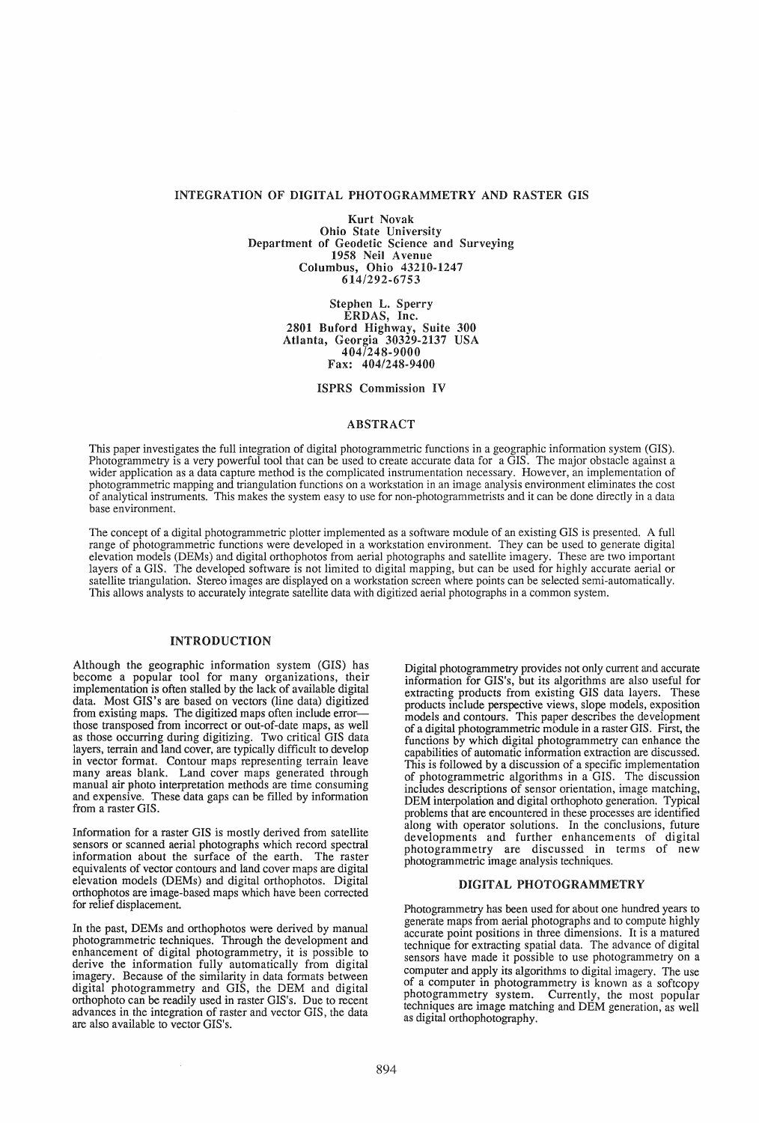## INTEGRATION OF DIGITAL PHOTOGRAMMETRY AND RASTER GIS

Kurt Novak Ohio State University Department of Geodetic Science and Surveying Columbus, Ohio 43210-1247 *614/292-6753* 

> Stephen L. Sperry ERDAS, Inc. 2801 Buford Highway, Suite 300 Atlanta, Georgia 30329-2137 USA 4041248-9000 Fax: *404/248-9400*

> > ISPRS Commission IV

## ABSTRACT

This paper investigates the full integration of digital photogrammetric functions in a geographic information system (GIS). Photogrammetry is a very powerful tool that can be used to create accurate data for a GIS. The major obstacle against a wider application as a data capture method is the complicated instrumentation necessary. However, an implementation of photogrammetric mapping and triangulation functions on a workstation in an image analysis environment eliminates the cost of analytical instruments. This makes the system easy to use for non-photogrammetnsts and It can be done directly m a data base environment.

The concept of a digital photogrammetric plotter implemented as a software module of an existing GIS is presented. A full range of photogrammetric functions were developed in a workstation environment. They can be used to generate digital elevation models (DEMs) and digital orthophotos from aerial photographs and satellite imagery. These are two important layers of a GIS. The developed software is not limited to digital mapping, but can be used for highly accurate aerial or satellite triangulation. Stereo images are displayed on a workstation screen where points can be selected semi-automatically. This allows analysts to accurately integrate satellite data with digitized aerial photographs in a common system.

# INTRODUCTION

Although the geographic information system (GIS) has become a popular tool for many organizations, their implementation is often stalled by the lack of available digital data. Most GIS's are based on vectors (line data) digitized from existing maps. The digitized maps often include errorthose transposed from incorrect or out-of-date maps, as well as those occurring during digitizing. Two critical GIS data layers, terrain and land cover, are typically difficult to develop in vector format. Contour maps representing terrain leave many areas blank. Land cover maps generated through manual air photo interpretation methods are time consuming and expensive. These data gaps can be filled by information from a raster GIS.

Information for a raster GIS is mostly derived from satellite sensors or scanned aerial photographs which record spectral information about the surface of the earth. The raster equivalents of vector contours and land cover maps are digital elevation models (DEMs) and digital orthophotos. Digital orthophotos are image-based maps which have been corrected for relief displacement.

In the past, DEMs and orthophotos were derived by manual photogrammetric techniques. Through the development and enhancement of digital photogrammetry, it is possible to derive the information fully automatically from digital imagery. Because of the similarity in data formats between digital photogrammetry and GIS, the DEM and digital orthophoto can be readily used in raster GIS's. Due to recent advances in the integration of raster and vector GIS, the data are also available to vector GIS's.

Digital photograrnmetry provides not only current and accurate information for GIS's, but its algorithms are also useful for extracting products from existing GIS data layers. These products include perspective views, slope models, exposition models and contours. This paper describes the development of a digital photogrammetric module in a raster GIS. First, the functions by which digital photogrammetry can enhance the capabilities of automatic information extraction are discussed. This is followed by a discussion of a specific implementation of photogrammetric algorithms in a GIS. The discussion includes descriptions of sensor orientation, image matching, DEM interpolation and digital orthophoto generation. Typical problems that are encountered in these processes are identified along with operator solutions. In the conclusions, future developments and further enhancements of digital photogrammetry are discussed in terms of new photograrnmetric image analysis techniques.

### DIGITAL PHOTOGRAMMETRY

Photogrammetry has been used for about one hundred years to generate maps from aerial photographs and to compute highly accurate point positions in three dimensions. It is a matured technique for extracting spatial data. The advance of digital sensors have made it possible to use photogrammetry on a computer and apply its algorithms to digital imagery. The use of a computer in photogrammetry is known as a softcopy photogrammetry system. Currently, the most popular techniques are image matching and DEM generation, as well as digital orthophotography.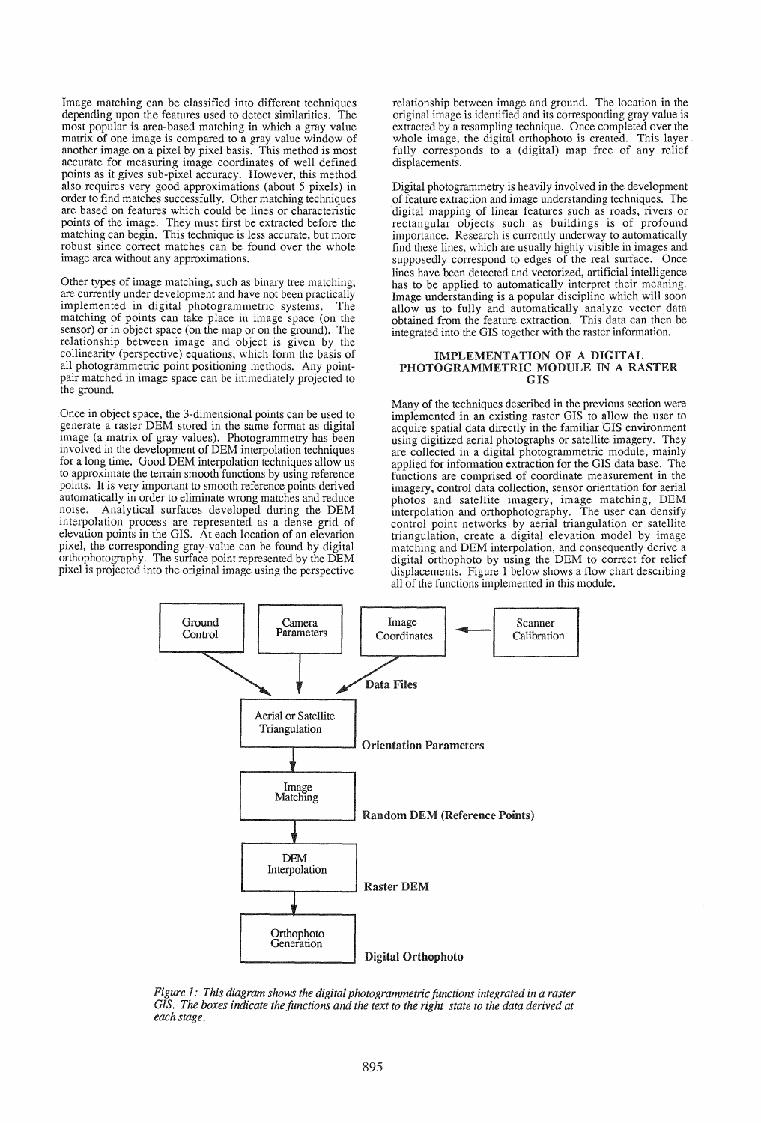Image matching can be classified into different techniques depending upon the features used to detect similarities. The most popular is area-based matching in which a gray value matrix of one image is compared to a gray value window of another image on a pixel by pixel basis. This method is most accurate for measuring image coordinates of well defined points as it gives sub-pixel accuracy. However, this method also requires very good approximations (about 5 pixels) in order to find matches successfully. Other matching techniques are based on features which could be lines or characteristic points of the image. They must first be extracted before the matching can begin. This technique is less accurate, but more robust since correct matches can be found over the whole image area without any approximations.

Other types of image matching, such as binary tree matching, are currently under development and have not been practically implemented in digital photogrammetric systems. The matching of points can take place in image space (on the sensor) or in object space (on the map or on the ground). The relationship between image and object is given by the collinearity (perspective) equations, which form the basis of all photogrammetric point positioning methods. Any pointpair matched in image space can be immediately projected to the ground.

Once in object space, the 3-dimensional points can be used to generate a raster DEM stored in the same format as digital image (a matrix of gray values). Photogrammetry has been involved in the development of DEM interpolation techniques for a long time. Good DEM interpolation techniques allow us to approximate the terrain smooth functions by using reference points. It is very important to smooth reference points derived automatically in order to eliminate wrong matches and reduce Analytical surfaces developed during the DEM interpolation process are represented as a dense grid of elevation points in the GIS. At each location of an elevation pixel, the corresponding gray-value can be found by digital orthophotography. The surface point represented by the DEM pixel is projected into the original image using the perspective

relationship between image and ground. The location in the original image is identified and its corresponding gray value is extracted by a resampling technique. Once completed over the whole image, the digital orthophoto is created. This layer fully corresponds to a (digital) map free of any relief displacements.

Digital photogrammetry is heavily involved in the development of feature extraction and image understanding techniques. The digital mapping of linear features such as roads, rivers or rectangular objects such as buildings is of profound importance. Research is currently underway to automatically find these lines, which are usually highly visible in images and supposedly correspond to edges of the real surface. Once lines have been detected and vectorized, artificial intelligence has to be applied to automatically interpret their meaning. Image understanding is a popular discipline which will soon allow us to fully and automatically analyze vector data obtained from the feature extraction. This data can then be integrated into the GIS together with the raster information.

#### IMPLEMENTATION OF A DIGITAL PHOTOGRAMMETRIC MODULE IN A RASTER GIS

Many of the techniques described in the previous section were implemented in an existing raster GIS to allow the user to acquire spatial data directly in the familiar GIS environment using digitized aerial photographs or satellite imagery. They are collected in a digital photogrammetric module, mainly applied for information extraction for the GIS data base. The functions are comprised of coordinate measurement in the imagery, control data collection, sensor orientation for aerial photos and satellite imagery, image matching, DEM interpolation and orthophotography. The user can densify control point networks by aerial triangulation or satellite triangulation, create a digital elevation model by image matching and DEM interpolation, and consequently derive a digital orthophoto by using the DEM to correct for relief displacements. Figure 1 below shows a flow chart describing all of the functions implemented in this module.



*Figure* 1: *This diagram shows the digital photo grammetric functions integrated in a raster GIS. The boxes indicate the functions and the text to the right state to the data derived at each stage.*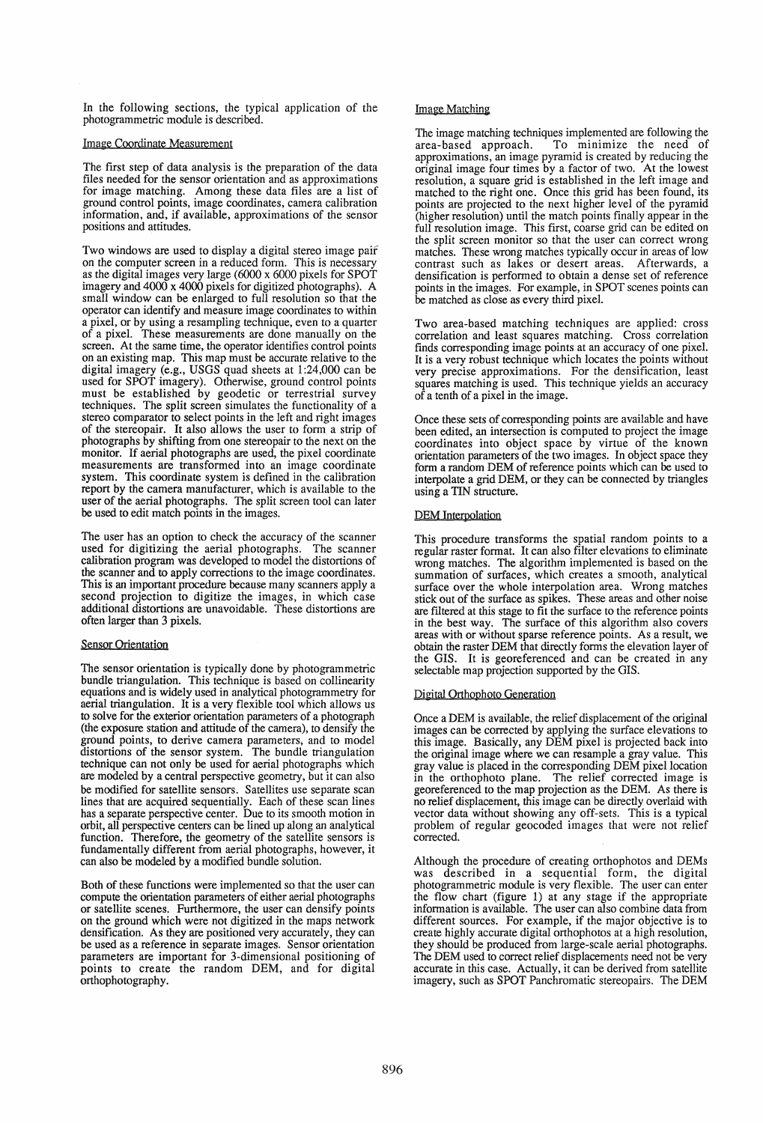In the following sections, the typical application of the photogrammetric module is described.

### Image Coordinate Measurement

The first step of data analysis is the preparation of the data files needed for the sensor orientation and as approximations for image matching. Among these data files are a list of ground control points, image coordinates, camera calibration information, and, if available, approximations of the sensor positions and attitudes.

Two windows are used to display a digital stereo image paif on the computer screen in a reduced form. This is necessary as the digital images very large (6000 x 6000 pixels for SPOT imagery and 4000 x 4000 pixels for digitized photographs), A small window can be enlarged to full resolution so that the operator can identify and measure image coordinates to within a pixel, or by using a resampling technique, even to a quarter of a pixel. These measurements are done manually on the screen. At the same time, the operator identifies control points on an existing map. This map must be accurate relative to the digital imagery (e.g., USGS quad sheets at 1 :24,000 can be used for SPOT imagery). Otherwise, ground control points must be established by geodetic or terrestrial survey techniques. The split screen simulates the functionality of a stereo comparator to select points in the left and right images of the stereopair. It also allows the user to form a strip of photographs by shifting from one stereopair to the next on the monitor. If aerial photographs are used, the pixel coordinate measurements are transformed into an image coordinate system. This coordinate system is defined in the calibration report by the camera manufacturer, which is available to the user of the aerial photographs. The split screen tool can later be used to edit match points in the images.

The user has an option to check the accuracy of the scanner used for digitizing the aerial photographs. The scanner calibration program was developed to model the distortions of the scanner and to apply corrections to the image coordinates. This is an important procedure because many scanners apply a second projection to digitize the images, in which case additional distortions are unavoidable. These distortions are often larger than 3 pixels.

## **Sensor Orientation**

The sensor orientation is typically done by photogrammetric bundle triangulation. This technique is based on collinearity equations and is widely used in analytical photogrammetry for aerial triangulation. It is a very flexible tool which allows us to solve for the exterior orientation parameters of a photograph (the exposure station and attitude of the camera), to densify the ground points, to derive camera parameters, and to model distortions of the sensor system. The bundle triangulation technique can not only be used for aerial photographs which are modeled by a central perspective geometry, but it can also be modified for satellite sensors. Satellites use separate scan lines that are acquired sequentially. Each of these scan lines has a separate perspective center. Due to its smooth motion in orbit, all perspective centers can be lined up along an analytical function. Therefore, the geometry of the satellite sensors is fundamentally different from aerial photographs, however, it can also be modeled by a modified bundle solution.

Both of these functions were implemented so that the user can compute the orientation parameters of either aerial photographs or satellite scenes. Furthermore, the user can densify points on the ground which were not digitized in the maps network densification. As they are positioned very accurately, they can be used as a reference in separate images. Sensor orientation parameters are important for 3-dimensional positioning of points to create the random DEM, and for digital orthophotography.

#### Image Matching

The image matching techniques implemented are following the area-based approach. To minimize the need of To minimize the need of approximations, an image pyramid is created by reducing the original image four times by a factor of two. At the lowest resolution, a square grid is established in the left image and matched to the right one. Once this grid has been found, its points are projected to the next higher level of the pyramid (higher resolution) until the match points finally appear in the full resolution image. This first, coarse grid can be edited on the split screen monitor so that the user can correct wrong matches. These wrong matches typically occur in areas of low contrast such as lakes or desert areas. Afterwards, a densification is performed to obtain a dense set of reference points in the images. For example, in SPOT scenes points can be matched as close as every third pixel.

Two area-based matching techniques are applied: cross correlation and least squares matching. Cross correlation finds corresponding image points at an accuracy of one pixel. It is a very robust technique which locates the points without very precise approximations. For the densification, least squares matching is used. This technique yields an accuracy of a tenth of a pixel in the image.

Once these sets of corresponding points are available and have been edited, an intersection is computed to project the image coordinates into object space by virtue of the known orientation parameters of the two images. In object space they form a random DEM of reference points which can be used to interpolate a grid DEM, or they can be connected by triangles using a TIN structure.

#### DEM Interpolation

This procedure transforms the spatial random points to a regular raster format. It can also filter elevations to eliminate wrong matches. The algorithm implemented is based on the summation of surfaces, which creates a smooth, analytical surface over the whole interpolation area. Wrong matches stick out of the surface as spikes. These areas and other noise are filtered at this stage to fit the surface to the reference points in the best way. The surface of this algorithm also covers areas with or without sparse reference points. As a result, we obtain the raster DEM that directly forms the elevation layer of the GIS. It is georeferenced and can be created in any selectable map projection supported by the GIS.

## Digital Orthophoto Generation

Once a DEM is available, the relief displacement of the original images can be corrected by applying the surface elevations to this image. Basically, any DEM pixel is projected back into the original image where we can resample a gray value. This gray value is placed in the corresponding DEM pixel location in the orthophoto plane. The relief corrected image is georeferenced to the map projection as the DEM. As there is no relief displacement, this image can be directly overlaid with vector data without showing any off-sets. This is a typical problem of regular geocoded images that were not relief corrected.

Although the procedure of creating orthophotos and DEMs was described in a sequential form, the digital photogrammetric module is very flexible. The user can enter the flow chart (figure 1) at any stage if the appropriate information is available. The user can also combine data from different sources. For example, if the major objective is to create highly accurate digital orthophotos at a high resolution, they should be produced from large-scale aerial photographs. The DEM used to correct relief displacements need not be very accurate in this case. Actually, it can be derived from satellite imagery, such as SPOT Panchromatic stereopairs. The DEM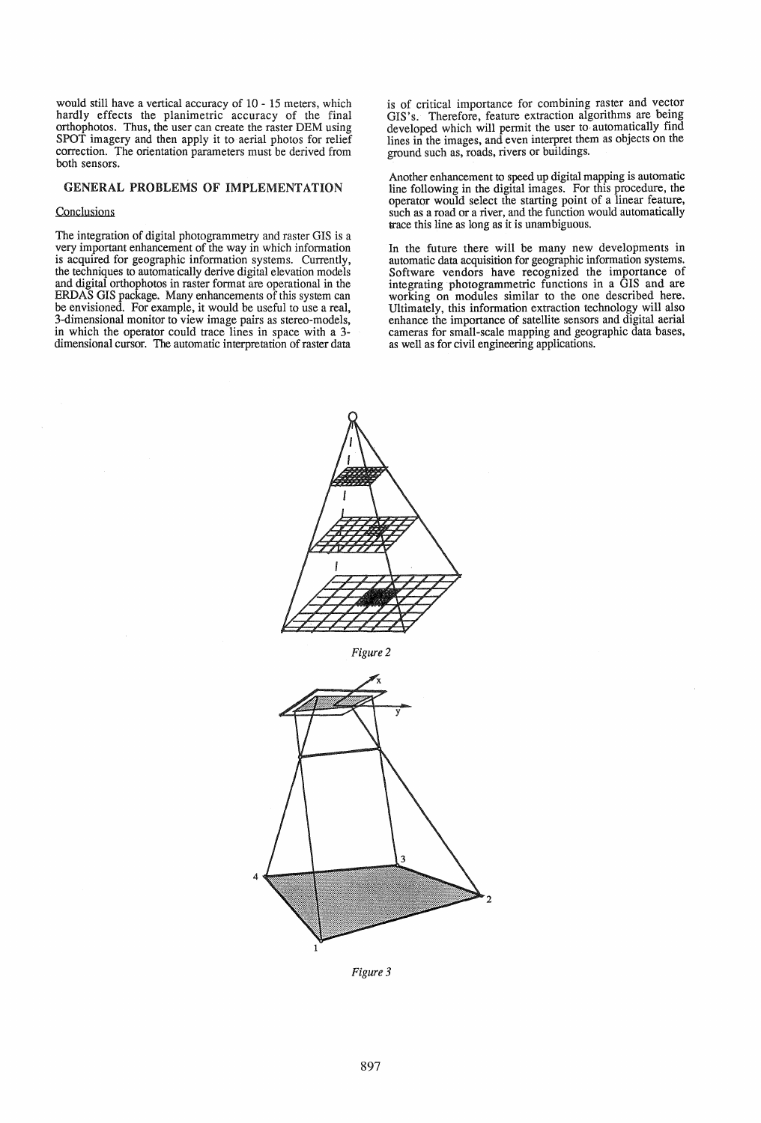would still have a vertical accuracy of 10 - 15 meters, which hardly effects the planimetric accuracy of the final orthophotos. Thus, the user can create the raster DEM using SPOT imagery and then apply it to aerial photos for relief correction. The orientation parameters must be derived from both sensors.

## GENERAL PROBLEMS OF IMPLEMENTATION

#### **Conclusions**

The integration of digital photogrammetry and raster GIS is a very important enhancement of the way in which information is acquired for geographic information systems. Currently, the techniques to automatically derive digital elevation models and digital orthophotos in raster format are operational in the ERDAS GIS package. Many enhancements of this system can be envisioned. For example, it would be useful to use a real, 3-dimensional monitor to view image pairs as stereo-models, in which the operator could trace lines in space with a 3 dimensional cursor. The automatic interpretation of raster data

is of critical importance for combining raster and vector GIS's. Therefore, feature extraction algorithms are being developed which will permit the user to automatically find lines in the images, and even interpret them as objects on the ground such as, roads, rivers or buildings.

Another enhancement to speed up digital mapping is automatic line following in the digital images. For this procedure, the operator would select the starting point of a linear feature, such as a road or a river, and the function would automatically trace this line as long as it is unambiguous.

In the future there will be many new developments in automatic data acquisition for geographic information systems. Software vendors have recognized the importance of integrating photogrammetric functions in a GIS and are working on modules similar to the one described here. Ultimately, this information extraction technology will also enhance the importance of satellite sensors and digital aerial cameras for small-scale mapping and geographic data bases, as well as for civil engineering applications.



*Figure 2* 



*Figure 3*